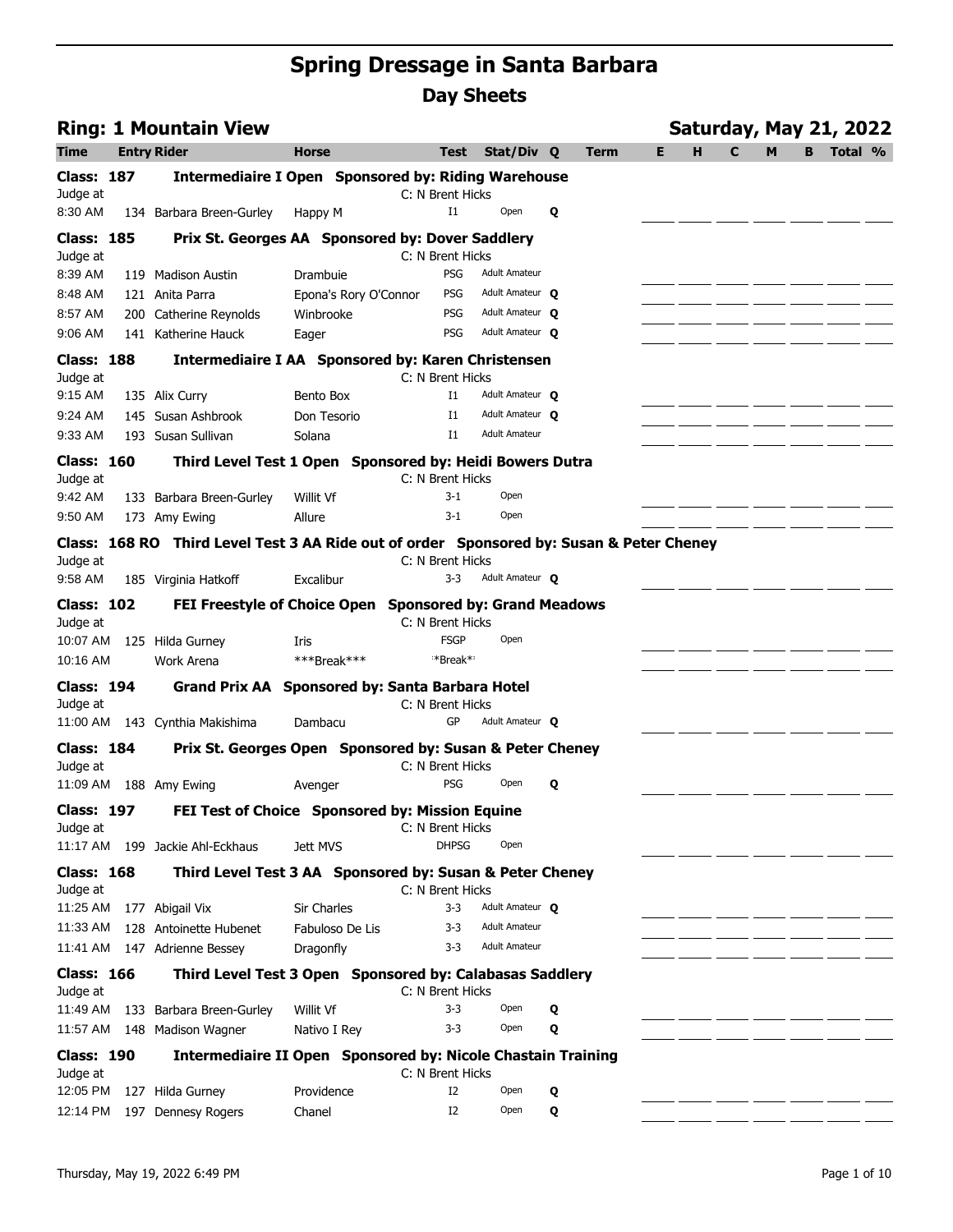|                               | <b>Ring: 1 Mountain View</b>                                                             |                                                                     |                  |                                         |   |             |    |   |             |   |   | Saturday, May 21, 2022 |  |
|-------------------------------|------------------------------------------------------------------------------------------|---------------------------------------------------------------------|------------------|-----------------------------------------|---|-------------|----|---|-------------|---|---|------------------------|--|
| Time                          | <b>Entry Rider</b>                                                                       | <b>Horse</b>                                                        | <b>Test</b>      | Stat/Div Q                              |   | <b>Term</b> | E. | H | $\mathbf c$ | M | В | Total %                |  |
| <b>Class: 187</b>             |                                                                                          | <b>Intermediaire I Open Sponsored by: Riding Warehouse</b>          | C: N Brent Hicks |                                         |   |             |    |   |             |   |   |                        |  |
| Judge at<br>8:30 AM           | 134 Barbara Breen-Gurley                                                                 | Happy M                                                             | $_{\rm I1}$      | Open                                    | Q |             |    |   |             |   |   |                        |  |
| <b>Class: 185</b>             |                                                                                          | Prix St. Georges AA Sponsored by: Dover Saddlery                    |                  |                                         |   |             |    |   |             |   |   |                        |  |
| Judge at                      |                                                                                          |                                                                     | C: N Brent Hicks |                                         |   |             |    |   |             |   |   |                        |  |
| 8:39 AM                       | 119 Madison Austin                                                                       | Drambuie                                                            | PSG              | <b>Adult Amateur</b>                    |   |             |    |   |             |   |   |                        |  |
| 8:48 AM                       | 121 Anita Parra                                                                          | Epona's Rory O'Connor                                               | PSG              | Adult Amateur O                         |   |             |    |   |             |   |   |                        |  |
| 8:57 AM                       | 200 Catherine Reynolds                                                                   | Winbrooke                                                           | <b>PSG</b>       | Adult Amateur O                         |   |             |    |   |             |   |   |                        |  |
| 9:06 AM                       | 141 Katherine Hauck                                                                      | Eager                                                               | PSG              | Adult Amateur <b>Q</b>                  |   |             |    |   |             |   |   |                        |  |
| <b>Class: 188</b><br>Judge at |                                                                                          | <b>Intermediaire I AA Sponsored by: Karen Christensen</b>           | C: N Brent Hicks |                                         |   |             |    |   |             |   |   |                        |  |
| 9:15 AM                       | 135 Alix Curry                                                                           | Bento Box                                                           | I1               | Adult Amateur O                         |   |             |    |   |             |   |   |                        |  |
| 9:24 AM                       | 145 Susan Ashbrook                                                                       | Don Tesorio                                                         | $_{\rm I1}$      | Adult Amateur O                         |   |             |    |   |             |   |   |                        |  |
| 9:33 AM                       | 193 Susan Sullivan                                                                       | Solana                                                              | $_{11}$          | <b>Adult Amateur</b>                    |   |             |    |   |             |   |   |                        |  |
|                               |                                                                                          |                                                                     |                  |                                         |   |             |    |   |             |   |   |                        |  |
| <b>Class: 160</b><br>Judge at |                                                                                          | Third Level Test 1 Open Sponsored by: Heidi Bowers Dutra            | C: N Brent Hicks |                                         |   |             |    |   |             |   |   |                        |  |
| 9:42 AM                       | 133 Barbara Breen-Gurley                                                                 | Willit Vf                                                           | $3-1$            | Open                                    |   |             |    |   |             |   |   |                        |  |
| 9:50 AM                       | 173 Amy Ewing                                                                            | Allure                                                              | $3-1$            | Open                                    |   |             |    |   |             |   |   |                        |  |
|                               | Class: 168 RO Third Level Test 3 AA Ride out of order Sponsored by: Susan & Peter Cheney |                                                                     |                  |                                         |   |             |    |   |             |   |   |                        |  |
| Judge at                      |                                                                                          |                                                                     | C: N Brent Hicks |                                         |   |             |    |   |             |   |   |                        |  |
| 9:58 AM                       | 185 Virginia Hatkoff                                                                     | Excalibur                                                           | $3 - 3$          | Adult Amateur O                         |   |             |    |   |             |   |   |                        |  |
| <b>Class: 102</b>             |                                                                                          | FEI Freestyle of Choice Open Sponsored by: Grand Meadows            |                  |                                         |   |             |    |   |             |   |   |                        |  |
| Judge at                      |                                                                                          |                                                                     | C: N Brent Hicks |                                         |   |             |    |   |             |   |   |                        |  |
| 10:07 AM                      | 125 Hilda Gurney                                                                         | Iris                                                                | <b>FSGP</b>      | Open                                    |   |             |    |   |             |   |   |                        |  |
| 10:16 AM                      | Work Arena                                                                               | ***Break***                                                         | **Break**        |                                         |   |             |    |   |             |   |   |                        |  |
| <b>Class: 194</b>             |                                                                                          | Grand Prix AA Sponsored by: Santa Barbara Hotel                     |                  |                                         |   |             |    |   |             |   |   |                        |  |
| Judge at                      |                                                                                          |                                                                     | C: N Brent Hicks |                                         |   |             |    |   |             |   |   |                        |  |
|                               | 11:00 AM 143 Cynthia Makishima                                                           | Dambacu                                                             | GP               | Adult Amateur O                         |   |             |    |   |             |   |   |                        |  |
| <b>Class: 184</b>             |                                                                                          | Prix St. Georges Open Sponsored by: Susan & Peter Cheney            |                  |                                         |   |             |    |   |             |   |   |                        |  |
| Judge at                      |                                                                                          |                                                                     | C: N Brent Hicks |                                         |   |             |    |   |             |   |   |                        |  |
|                               | 11:09 AM  188 Amy Ewing                                                                  | Avenger                                                             | PSG              | Open                                    | Q |             |    |   |             |   |   |                        |  |
| <b>Class: 197</b>             |                                                                                          | <b>FEI Test of Choice Sponsored by: Mission Equine</b>              |                  |                                         |   |             |    |   |             |   |   |                        |  |
| Judge at                      |                                                                                          |                                                                     | C: N Brent Hicks |                                         |   |             |    |   |             |   |   |                        |  |
|                               | 11:17 AM 199 Jackie Ahl-Eckhaus                                                          | Jett MVS                                                            | <b>DHPSG</b>     | Open                                    |   |             |    |   |             |   |   |                        |  |
| <b>Class: 168</b>             |                                                                                          | Third Level Test 3 AA Sponsored by: Susan & Peter Cheney            |                  |                                         |   |             |    |   |             |   |   |                        |  |
| Judge at                      |                                                                                          |                                                                     | C: N Brent Hicks |                                         |   |             |    |   |             |   |   |                        |  |
| 11:25 AM                      | 177 Abigail Vix                                                                          | <b>Sir Charles</b>                                                  | $3 - 3$          | Adult Amateur O<br><b>Adult Amateur</b> |   |             |    |   |             |   |   |                        |  |
| 11:33 AM                      | 128 Antoinette Hubenet                                                                   | Fabuloso De Lis                                                     | 3-3<br>$3 - 3$   | <b>Adult Amateur</b>                    |   |             |    |   |             |   |   |                        |  |
|                               | 11:41 AM 147 Adrienne Bessey                                                             | Dragonfly                                                           |                  |                                         |   |             |    |   |             |   |   |                        |  |
| <b>Class: 166</b><br>Judge at |                                                                                          | Third Level Test 3 Open Sponsored by: Calabasas Saddlery            | C: N Brent Hicks |                                         |   |             |    |   |             |   |   |                        |  |
| 11:49 AM                      | 133 Barbara Breen-Gurley                                                                 | Willit Vf                                                           | $3 - 3$          | Open                                    | Q |             |    |   |             |   |   |                        |  |
|                               | 11:57 AM 148 Madison Wagner                                                              | Nativo I Rey                                                        | $3 - 3$          | Open                                    | Q |             |    |   |             |   |   |                        |  |
| <b>Class: 190</b><br>Judge at |                                                                                          | <b>Intermediaire II Open Sponsored by: Nicole Chastain Training</b> | C: N Brent Hicks |                                         |   |             |    |   |             |   |   |                        |  |
| 12:05 PM                      | 127 Hilda Gurney                                                                         | Providence                                                          | I2               | Open                                    | Q |             |    |   |             |   |   |                        |  |
|                               | 12:14 PM 197 Dennesy Rogers                                                              | Chanel                                                              | I <sub>2</sub>   | Open                                    | Q |             |    |   |             |   |   |                        |  |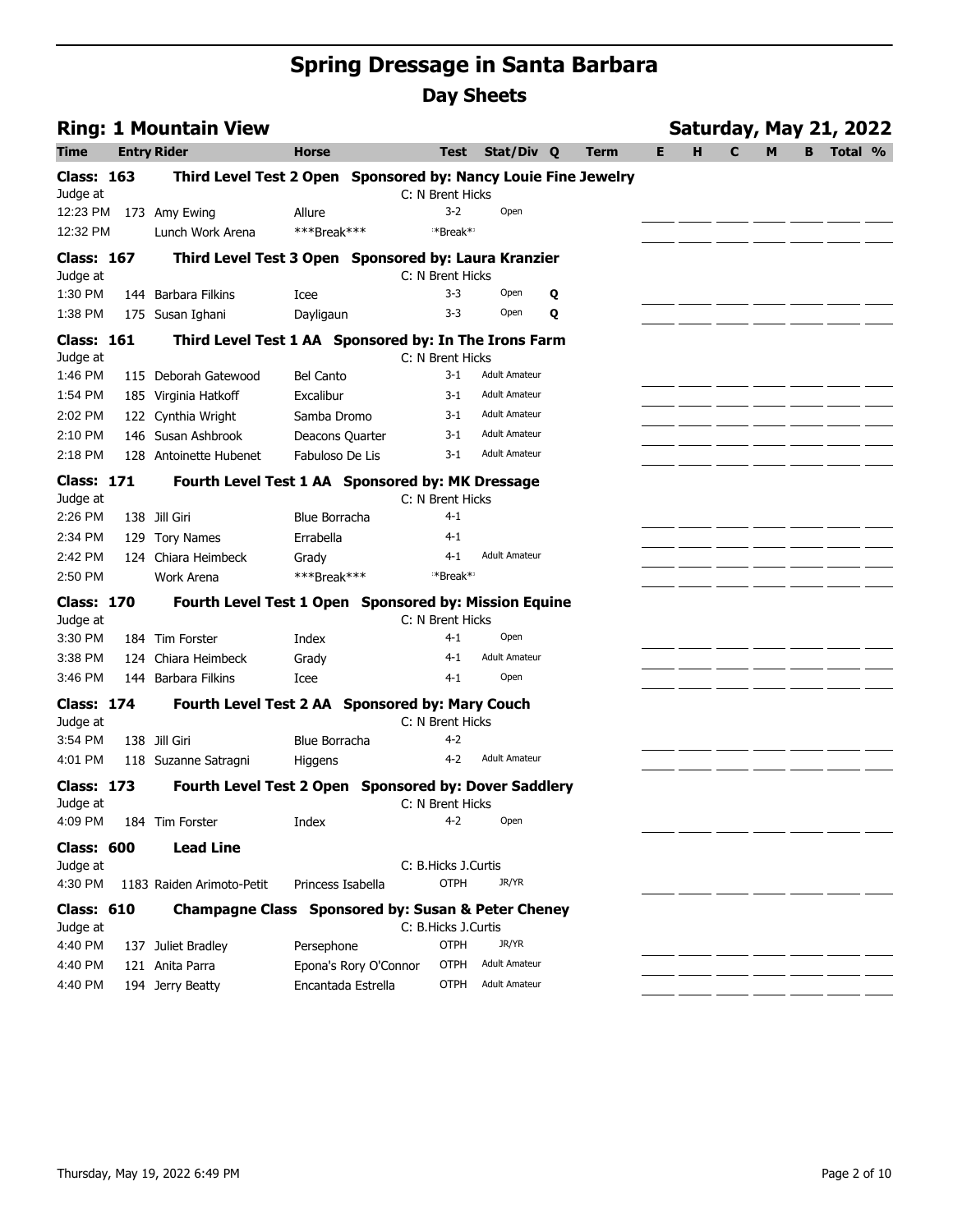|                               | <b>Ring: 1 Mountain View</b>                                   |                   |                       |                             |                      |   |             |   |   |   |   |   | <b>Saturday, May 21, 2022</b> |  |
|-------------------------------|----------------------------------------------------------------|-------------------|-----------------------|-----------------------------|----------------------|---|-------------|---|---|---|---|---|-------------------------------|--|
| Time                          | <b>Entry Rider</b>                                             | <b>Horse</b>      |                       | Test                        | Stat/Div Q           |   | <b>Term</b> | Е | н | C | м | B | Total %                       |  |
| <b>Class: 163</b>             | Third Level Test 2 Open Sponsored by: Nancy Louie Fine Jewelry |                   |                       |                             |                      |   |             |   |   |   |   |   |                               |  |
| Judge at                      |                                                                |                   |                       | C: N Brent Hicks            |                      |   |             |   |   |   |   |   |                               |  |
| 12:23 PM                      | 173 Amy Ewing                                                  | Allure            |                       | $3 - 2$                     | Open                 |   |             |   |   |   |   |   |                               |  |
| 12:32 PM                      | Lunch Work Arena                                               | ***Break***       |                       | **Break**                   |                      |   |             |   |   |   |   |   |                               |  |
| <b>Class: 167</b><br>Judge at | Third Level Test 3 Open Sponsored by: Laura Kranzier           |                   |                       | C: N Brent Hicks            |                      |   |             |   |   |   |   |   |                               |  |
| 1:30 PM                       | 144 Barbara Filkins                                            | Icee              |                       | $3 - 3$                     | Open                 | Q |             |   |   |   |   |   |                               |  |
| 1:38 PM                       | 175 Susan Ighani                                               | Dayligaun         |                       | $3 - 3$                     | Open                 | Q |             |   |   |   |   |   |                               |  |
| Class: 161<br>Judge at        | Third Level Test 1 AA Sponsored by: In The Irons Farm          |                   |                       | C: N Brent Hicks            |                      |   |             |   |   |   |   |   |                               |  |
| 1:46 PM                       | 115 Deborah Gatewood                                           | <b>Bel Canto</b>  |                       | $3 - 1$                     | <b>Adult Amateur</b> |   |             |   |   |   |   |   |                               |  |
| 1:54 PM                       | 185 Virginia Hatkoff                                           | Excalibur         |                       | $3 - 1$                     | <b>Adult Amateur</b> |   |             |   |   |   |   |   |                               |  |
| 2:02 PM                       | 122 Cynthia Wright                                             | Samba Dromo       |                       | 3-1                         | <b>Adult Amateur</b> |   |             |   |   |   |   |   |                               |  |
| 2:10 PM                       | 146 Susan Ashbrook                                             | Deacons Quarter   |                       | $3-1$                       | <b>Adult Amateur</b> |   |             |   |   |   |   |   |                               |  |
| 2:18 PM                       | 128 Antoinette Hubenet                                         | Fabuloso De Lis   |                       | 3-1                         | <b>Adult Amateur</b> |   |             |   |   |   |   |   |                               |  |
| <b>Class: 171</b>             | Fourth Level Test 1 AA Sponsored by: MK Dressage               |                   |                       |                             |                      |   |             |   |   |   |   |   |                               |  |
| Judge at<br>2:26 PM           | 138 Jill Giri                                                  | Blue Borracha     |                       | C: N Brent Hicks<br>$4 - 1$ |                      |   |             |   |   |   |   |   |                               |  |
| 2:34 PM                       | 129 Tory Names                                                 | Errabella         |                       | $4 - 1$                     |                      |   |             |   |   |   |   |   |                               |  |
| 2:42 PM                       | 124 Chiara Heimbeck                                            | Grady             |                       | $4 - 1$                     | <b>Adult Amateur</b> |   |             |   |   |   |   |   |                               |  |
| 2:50 PM                       | Work Arena                                                     | ***Break***       |                       | **Break**                   |                      |   |             |   |   |   |   |   |                               |  |
| <b>Class: 170</b>             | Fourth Level Test 1 Open Sponsored by: Mission Equine          |                   |                       |                             |                      |   |             |   |   |   |   |   |                               |  |
| Judge at                      |                                                                |                   |                       | C: N Brent Hicks            |                      |   |             |   |   |   |   |   |                               |  |
| 3:30 PM                       | 184 Tim Forster                                                | Index             |                       | $4 - 1$                     | Open                 |   |             |   |   |   |   |   |                               |  |
| 3:38 PM                       | 124 Chiara Heimbeck                                            | Grady             |                       | 4-1                         | <b>Adult Amateur</b> |   |             |   |   |   |   |   |                               |  |
| 3:46 PM                       | 144 Barbara Filkins                                            | Icee              |                       | $4 - 1$                     | Open                 |   |             |   |   |   |   |   |                               |  |
| <b>Class: 174</b><br>Judge at | Fourth Level Test 2 AA Sponsored by: Mary Couch                |                   |                       | C: N Brent Hicks            |                      |   |             |   |   |   |   |   |                               |  |
| 3:54 PM                       | 138 Jill Giri                                                  | Blue Borracha     |                       | $4 - 2$                     |                      |   |             |   |   |   |   |   |                               |  |
| 4:01 PM                       | 118 Suzanne Satragni                                           | Higgens           |                       | 4-2                         | <b>Adult Amateur</b> |   |             |   |   |   |   |   |                               |  |
| Class: 173<br>Judge at        | Fourth Level Test 2 Open Sponsored by: Dover Saddlery          |                   |                       | C: N Brent Hicks            |                      |   |             |   |   |   |   |   |                               |  |
| 4:09 PM                       | 184 Tim Forster                                                | Index             |                       | 4-2                         | Open                 |   |             |   |   |   |   |   |                               |  |
| <b>Class: 600</b>             | <b>Lead Line</b>                                               |                   |                       |                             |                      |   |             |   |   |   |   |   |                               |  |
| Judge at                      |                                                                |                   |                       | C: B.Hicks J.Curtis         |                      |   |             |   |   |   |   |   |                               |  |
| 4:30 PM                       | 1183 Raiden Arimoto-Petit                                      | Princess Isabella |                       | <b>OTPH</b>                 | JR/YR                |   |             |   |   |   |   |   |                               |  |
| <b>Class: 610</b><br>Judge at | Champagne Class Sponsored by: Susan & Peter Cheney             |                   |                       | C: B.Hicks J.Curtis         |                      |   |             |   |   |   |   |   |                               |  |
| 4:40 PM                       | 137 Juliet Bradley                                             | Persephone        |                       | <b>OTPH</b>                 | JR/YR                |   |             |   |   |   |   |   |                               |  |
| 4:40 PM                       | 121 Anita Parra                                                |                   | Epona's Rory O'Connor | <b>OTPH</b>                 | <b>Adult Amateur</b> |   |             |   |   |   |   |   |                               |  |
| 4:40 PM                       | 194 Jerry Beatty                                               |                   | Encantada Estrella    | <b>OTPH</b>                 | <b>Adult Amateur</b> |   |             |   |   |   |   |   |                               |  |
|                               |                                                                |                   |                       |                             |                      |   |             |   |   |   |   |   |                               |  |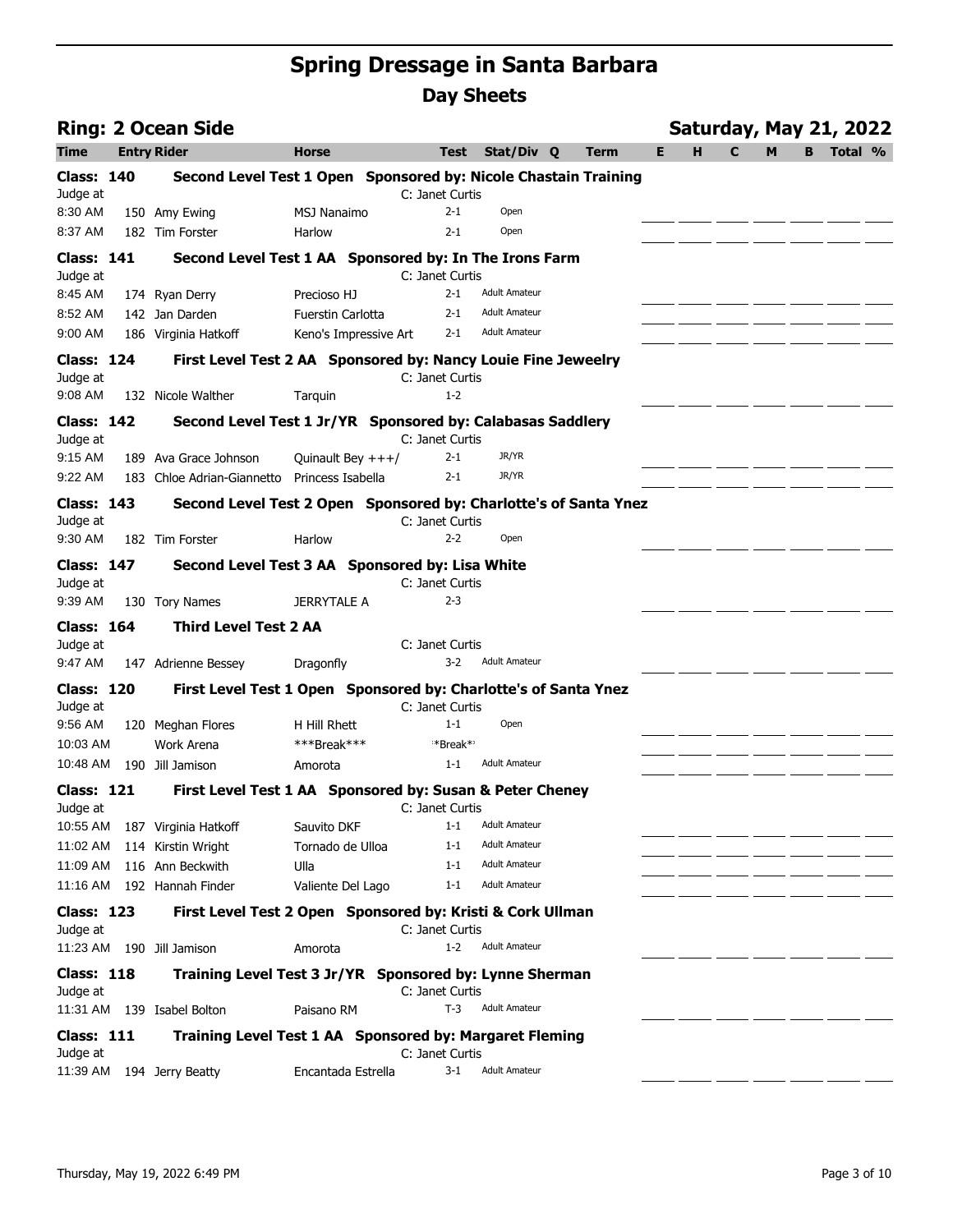|                               | <b>Ring: 2 Ocean Side</b>                                        |                          |                            |                                              |             |   | <b>Saturday, May 21, 2022</b> |   |   |   |         |  |
|-------------------------------|------------------------------------------------------------------|--------------------------|----------------------------|----------------------------------------------|-------------|---|-------------------------------|---|---|---|---------|--|
| Time                          | <b>Entry Rider</b>                                               | <b>Horse</b>             | Test                       | Stat/Div Q                                   | <b>Term</b> | Е | н                             | C | M | B | Total % |  |
| <b>Class: 140</b><br>Judge at | Second Level Test 1 Open Sponsored by: Nicole Chastain Training  |                          | C: Janet Curtis            |                                              |             |   |                               |   |   |   |         |  |
| 8:30 AM                       | 150 Amy Ewing                                                    | <b>MSJ Nanaimo</b>       | $2 - 1$                    | Open                                         |             |   |                               |   |   |   |         |  |
| 8:37 AM                       | 182 Tim Forster                                                  | <b>Harlow</b>            | 2-1                        | Open                                         |             |   |                               |   |   |   |         |  |
| <b>Class: 141</b>             | Second Level Test 1 AA Sponsored by: In The Irons Farm           |                          |                            |                                              |             |   |                               |   |   |   |         |  |
| Judge at                      |                                                                  |                          | C: Janet Curtis            |                                              |             |   |                               |   |   |   |         |  |
| 8:45 AM                       | 174 Ryan Derry                                                   | Precioso HJ              | $2 - 1$                    | <b>Adult Amateur</b>                         |             |   |                               |   |   |   |         |  |
| 8:52 AM                       | 142 Jan Darden                                                   | <b>Fuerstin Carlotta</b> | $2 - 1$                    | <b>Adult Amateur</b><br><b>Adult Amateur</b> |             |   |                               |   |   |   |         |  |
| 9:00 AM                       | 186 Virginia Hatkoff                                             | Keno's Impressive Art    | $2 - 1$                    |                                              |             |   |                               |   |   |   |         |  |
| <b>Class: 124</b><br>Judge at | First Level Test 2 AA Sponsored by: Nancy Louie Fine Jeweelry    |                          | C: Janet Curtis            |                                              |             |   |                               |   |   |   |         |  |
| 9:08 AM                       | 132 Nicole Walther                                               | Tarquin                  | $1 - 2$                    |                                              |             |   |                               |   |   |   |         |  |
| <b>Class: 142</b><br>Judge at | Second Level Test 1 Jr/YR Sponsored by: Calabasas Saddlery       |                          | C: Janet Curtis            |                                              |             |   |                               |   |   |   |         |  |
| 9:15 AM                       | 189 Ava Grace Johnson                                            | Quinault Bey $+++/$      | $2 - 1$                    | JR/YR                                        |             |   |                               |   |   |   |         |  |
| $9:22$ AM                     | 183 Chloe Adrian-Giannetto                                       | Princess Isabella        | $2 - 1$                    | JR/YR                                        |             |   |                               |   |   |   |         |  |
| <b>Class: 143</b>             | Second Level Test 2 Open Sponsored by: Charlotte's of Santa Ynez |                          |                            |                                              |             |   |                               |   |   |   |         |  |
| Judge at<br>9:30 AM           | 182 Tim Forster                                                  | Harlow                   | C: Janet Curtis<br>$2 - 2$ | Open                                         |             |   |                               |   |   |   |         |  |
| <b>Class: 147</b>             | Second Level Test 3 AA Sponsored by: Lisa White                  |                          |                            |                                              |             |   |                               |   |   |   |         |  |
| Judge at                      |                                                                  |                          | C: Janet Curtis            |                                              |             |   |                               |   |   |   |         |  |
| 9:39 AM                       | 130 Tory Names                                                   | <b>JERRYTALE A</b>       | $2 - 3$                    |                                              |             |   |                               |   |   |   |         |  |
| <b>Class: 164</b>             | <b>Third Level Test 2 AA</b>                                     |                          |                            |                                              |             |   |                               |   |   |   |         |  |
| Judge at<br>9:47 AM           | 147 Adrienne Bessey                                              | Dragonfly                | C: Janet Curtis<br>3-2     | <b>Adult Amateur</b>                         |             |   |                               |   |   |   |         |  |
| <b>Class: 120</b>             | First Level Test 1 Open Sponsored by: Charlotte's of Santa Ynez  |                          |                            |                                              |             |   |                               |   |   |   |         |  |
| Judge at                      |                                                                  |                          | C: Janet Curtis            |                                              |             |   |                               |   |   |   |         |  |
| 9:56 AM                       | 120 Meghan Flores                                                | H Hill Rhett             | $1 - 1$                    | Open                                         |             |   |                               |   |   |   |         |  |
| 10:03 AM                      | Work Arena                                                       | ***Break***              | *Break*'                   |                                              |             |   |                               |   |   |   |         |  |
| 10:48 AM                      | 190 Jill Jamison                                                 | Amorota                  | $1 - 1$                    | Adult Amateur                                |             |   |                               |   |   |   |         |  |
| <b>Class: 121</b><br>Judge at | First Level Test 1 AA Sponsored by: Susan & Peter Cheney         |                          | C: Janet Curtis            |                                              |             |   |                               |   |   |   |         |  |
|                               | 10:55 AM 187 Virginia Hatkoff                                    | Sauvito DKF              | $1 - 1$                    | <b>Adult Amateur</b>                         |             |   |                               |   |   |   |         |  |
| 11:02 AM                      | 114 Kirstin Wright                                               | Tornado de Ulloa         | $1 - 1$                    | <b>Adult Amateur</b>                         |             |   |                               |   |   |   |         |  |
| 11:09 AM                      | 116 Ann Beckwith                                                 | Ulla                     | $1 - 1$                    | <b>Adult Amateur</b>                         |             |   |                               |   |   |   |         |  |
|                               | 11:16 AM 192 Hannah Finder                                       | Valiente Del Lago        | $1 - 1$                    | <b>Adult Amateur</b>                         |             |   |                               |   |   |   |         |  |
| <b>Class: 123</b>             | First Level Test 2 Open Sponsored by: Kristi & Cork Ullman       |                          |                            |                                              |             |   |                               |   |   |   |         |  |
| Judge at                      |                                                                  |                          | C: Janet Curtis            |                                              |             |   |                               |   |   |   |         |  |
|                               | 11:23 AM 190 Jill Jamison                                        | Amorota                  | $1 - 2$                    | <b>Adult Amateur</b>                         |             |   |                               |   |   |   |         |  |
| <b>Class: 118</b><br>Judge at | Training Level Test 3 Jr/YR Sponsored by: Lynne Sherman          |                          | C: Janet Curtis            |                                              |             |   |                               |   |   |   |         |  |
|                               | 11:31 AM 139 Isabel Bolton                                       | Paisano RM               | $T-3$                      | <b>Adult Amateur</b>                         |             |   |                               |   |   |   |         |  |
| <b>Class: 111</b>             | Training Level Test 1 AA Sponsored by: Margaret Fleming          |                          |                            |                                              |             |   |                               |   |   |   |         |  |
| Judge at                      |                                                                  |                          | C: Janet Curtis            |                                              |             |   |                               |   |   |   |         |  |
|                               | 11:39 AM 194 Jerry Beatty                                        | Encantada Estrella       | 3-1                        | <b>Adult Amateur</b>                         |             |   |                               |   |   |   |         |  |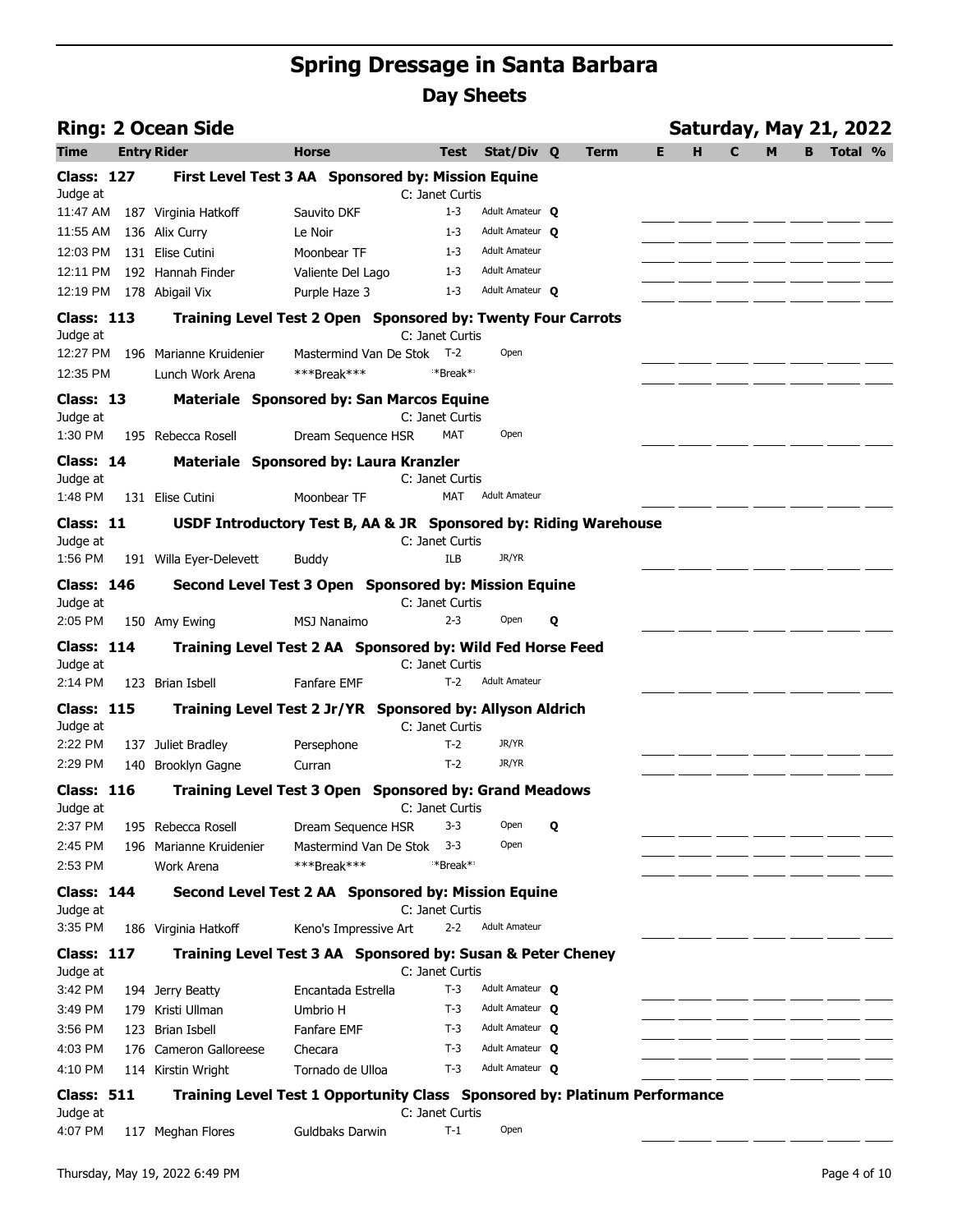| <b>Ring: 2 Ocean Side</b>     |                                       |                                                                            |                               |                      |   |      |   |   | <b>Saturday, May 21, 2022</b> |   |   |         |  |
|-------------------------------|---------------------------------------|----------------------------------------------------------------------------|-------------------------------|----------------------|---|------|---|---|-------------------------------|---|---|---------|--|
| Time                          | <b>Entry Rider</b>                    | Horse                                                                      | Test                          | Stat/Div Q           |   | Term | Е | н | C                             | м | в | Total % |  |
| <b>Class: 127</b><br>Judge at |                                       | First Level Test 3 AA Sponsored by: Mission Equine                         | C: Janet Curtis               |                      |   |      |   |   |                               |   |   |         |  |
| 11:47 AM                      | 187 Virginia Hatkoff                  | Sauvito DKF                                                                | $1 - 3$                       | Adult Amateur O      |   |      |   |   |                               |   |   |         |  |
| 11:55 AM                      | 136 Alix Curry                        | Le Noir                                                                    | $1 - 3$                       | Adult Amateur O      |   |      |   |   |                               |   |   |         |  |
| 12:03 PM                      | 131 Elise Cutini                      | Moonbear TF                                                                | $1 - 3$                       | <b>Adult Amateur</b> |   |      |   |   |                               |   |   |         |  |
| 12:11 PM                      | 192 Hannah Finder                     | Valiente Del Lago                                                          | $1 - 3$                       | <b>Adult Amateur</b> |   |      |   |   |                               |   |   |         |  |
| 12:19 PM                      | 178 Abigail Vix                       | Purple Haze 3                                                              | $1 - 3$                       | Adult Amateur O      |   |      |   |   |                               |   |   |         |  |
| <b>Class: 113</b>             |                                       | Training Level Test 2 Open Sponsored by: Twenty Four Carrots               |                               |                      |   |      |   |   |                               |   |   |         |  |
| Judge at                      |                                       |                                                                            | C: Janet Curtis               |                      |   |      |   |   |                               |   |   |         |  |
| 12:27 PM                      | 196 Marianne Kruidenier               | Mastermind Van De Stok T-2                                                 |                               | Open                 |   |      |   |   |                               |   |   |         |  |
| 12:35 PM                      | Lunch Work Arena                      | ***Break***                                                                | **Break**                     |                      |   |      |   |   |                               |   |   |         |  |
| Class: 13<br>Judge at         |                                       | <b>Materiale Sponsored by: San Marcos Equine</b>                           | C: Janet Curtis               |                      |   |      |   |   |                               |   |   |         |  |
| 1:30 PM                       | 195 Rebecca Rosell                    | Dream Sequence HSR                                                         | <b>MAT</b>                    | Open                 |   |      |   |   |                               |   |   |         |  |
| Class: 14                     |                                       | Materiale Sponsored by: Laura Kranzler                                     |                               |                      |   |      |   |   |                               |   |   |         |  |
| Judge at<br>1:48 PM           |                                       |                                                                            | C: Janet Curtis<br><b>MAT</b> | <b>Adult Amateur</b> |   |      |   |   |                               |   |   |         |  |
|                               | 131 Elise Cutini                      | Moonbear TF                                                                |                               |                      |   |      |   |   |                               |   |   |         |  |
| Class: 11<br>Judge at         |                                       | USDF Introductory Test B, AA & JR Sponsored by: Riding Warehouse           | C: Janet Curtis               |                      |   |      |   |   |                               |   |   |         |  |
| 1:56 PM                       | 191 Willa Eyer-Delevett               | <b>Buddy</b>                                                               | <b>ILB</b>                    | JR/YR                |   |      |   |   |                               |   |   |         |  |
| <b>Class: 146</b>             |                                       | Second Level Test 3 Open Sponsored by: Mission Equine                      |                               |                      |   |      |   |   |                               |   |   |         |  |
| Judge at                      |                                       |                                                                            | C: Janet Curtis<br>$2 - 3$    | Open                 |   |      |   |   |                               |   |   |         |  |
| 2:05 PM<br><b>Class: 114</b>  | 150 Amy Ewing                         | <b>MSJ Nanaimo</b>                                                         |                               |                      | Q |      |   |   |                               |   |   |         |  |
| Judge at                      |                                       | Training Level Test 2 AA Sponsored by: Wild Fed Horse Feed                 | C: Janet Curtis               |                      |   |      |   |   |                               |   |   |         |  |
| 2:14 PM                       | 123 Brian Isbell                      | <b>Fanfare EMF</b>                                                         | $T-2$                         | <b>Adult Amateur</b> |   |      |   |   |                               |   |   |         |  |
| <b>Class: 115</b><br>Judge at |                                       | Training Level Test 2 Jr/YR Sponsored by: Allyson Aldrich                  | C: Janet Curtis               |                      |   |      |   |   |                               |   |   |         |  |
| 2:22 PM                       | 137 Juliet Bradley                    | Persephone                                                                 | $T-2$                         | JR/YR                |   |      |   |   |                               |   |   |         |  |
| 2:29 PM                       | 140 Brooklyn Gagne                    | Curran                                                                     | $T-2$                         | JR/YR                |   |      |   |   |                               |   |   |         |  |
| <b>Class: 116</b>             |                                       | Training Level Test 3 Open Sponsored by: Grand Meadows                     |                               |                      |   |      |   |   |                               |   |   |         |  |
| Judge at                      |                                       |                                                                            | C: Janet Curtis               |                      |   |      |   |   |                               |   |   |         |  |
| 2:37 PM                       | 195 Rebecca Rosell                    | Dream Sequence HSR                                                         | 3-3                           | Open                 | Q |      |   |   |                               |   |   |         |  |
| 2:45 PM<br>2:53 PM            | 196 Marianne Kruidenier<br>Work Arena | Mastermind Van De Stok<br>***Break***                                      | $3 - 3$<br>**Break**          | Open                 |   |      |   |   |                               |   |   |         |  |
|                               |                                       |                                                                            |                               |                      |   |      |   |   |                               |   |   |         |  |
| <b>Class: 144</b><br>Judge at |                                       | Second Level Test 2 AA Sponsored by: Mission Equine                        | C: Janet Curtis               |                      |   |      |   |   |                               |   |   |         |  |
| 3:35 PM                       | 186 Virginia Hatkoff                  | Keno's Impressive Art                                                      | $2 - 2$                       | <b>Adult Amateur</b> |   |      |   |   |                               |   |   |         |  |
| <b>Class: 117</b>             |                                       | Training Level Test 3 AA Sponsored by: Susan & Peter Cheney                |                               |                      |   |      |   |   |                               |   |   |         |  |
| Judge at                      |                                       |                                                                            | C: Janet Curtis               |                      |   |      |   |   |                               |   |   |         |  |
| 3:42 PM                       | 194 Jerry Beatty                      | Encantada Estrella                                                         | $T-3$                         | Adult Amateur O      |   |      |   |   |                               |   |   |         |  |
| 3:49 PM                       | 179 Kristi Ullman                     | Umbrio H                                                                   | $T-3$                         | Adult Amateur O      |   |      |   |   |                               |   |   |         |  |
| 3:56 PM                       | 123 Brian Isbell                      | Fanfare EMF                                                                | $T-3$                         | Adult Amateur O      |   |      |   |   |                               |   |   |         |  |
| 4:03 PM                       | 176 Cameron Galloreese                | Checara                                                                    | $T-3$                         | Adult Amateur Q      |   |      |   |   |                               |   |   |         |  |
| 4:10 PM                       | 114 Kirstin Wright                    | Tornado de Ulloa                                                           | $T-3$                         | Adult Amateur Q      |   |      |   |   |                               |   |   |         |  |
| <b>Class: 511</b>             |                                       | Training Level Test 1 Opportunity Class Sponsored by: Platinum Performance |                               |                      |   |      |   |   |                               |   |   |         |  |
| Judge at<br>4:07 PM           | 117 Meghan Flores                     | Guldbaks Darwin                                                            | C: Janet Curtis<br>$T-1$      | Open                 |   |      |   |   |                               |   |   |         |  |
|                               |                                       |                                                                            |                               |                      |   |      |   |   |                               |   |   |         |  |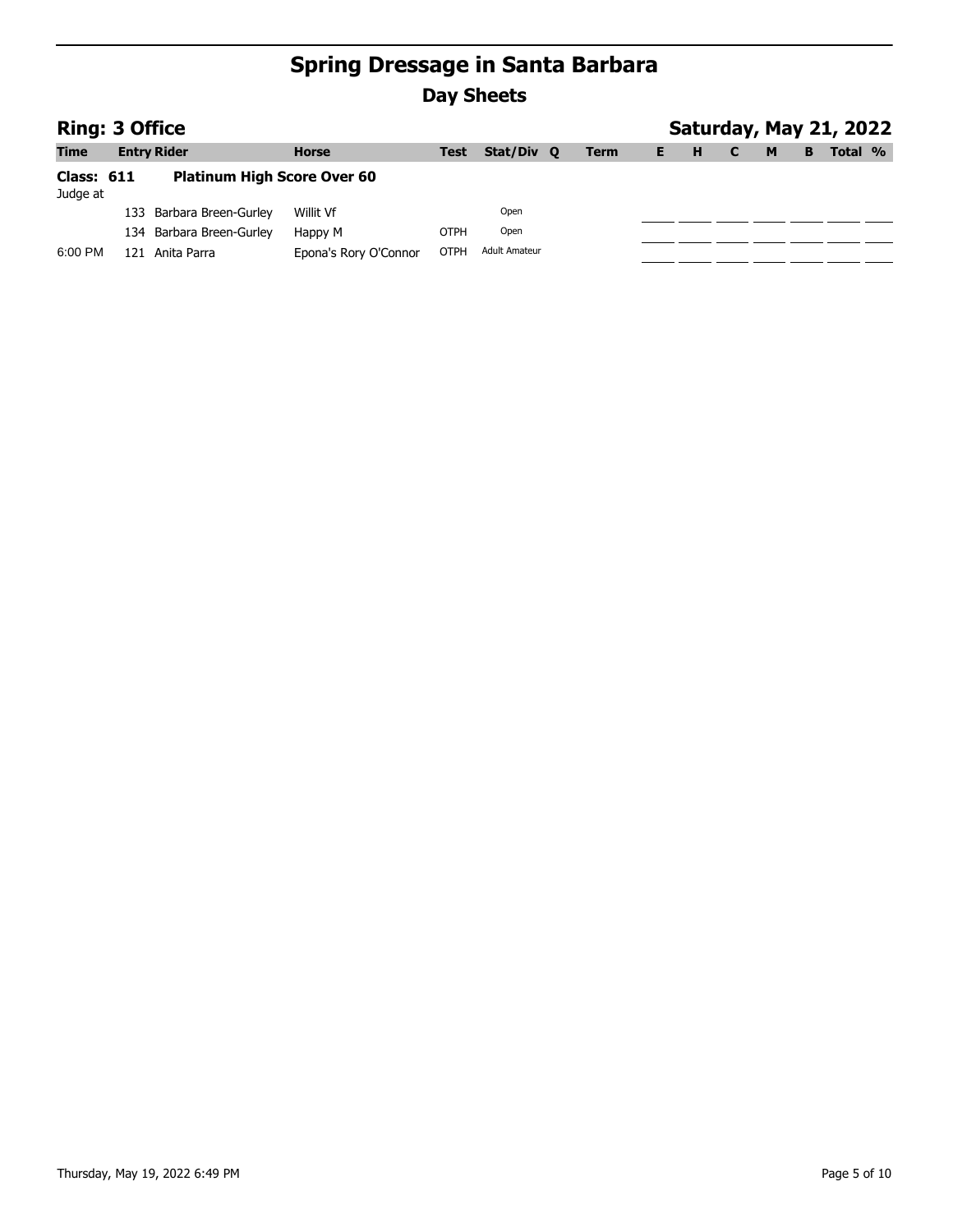|                               | <b>Ring: 3 Office</b> |                                    |                       |             |                      |  |             |  |   |  |   |   | Saturday, May 21, 2022 |  |
|-------------------------------|-----------------------|------------------------------------|-----------------------|-------------|----------------------|--|-------------|--|---|--|---|---|------------------------|--|
| <b>Time</b>                   |                       | <b>Entry Rider</b>                 | <b>Horse</b>          | Test        | Stat/Div Q           |  | <b>Term</b> |  | н |  | M | в | Total %                |  |
| <b>Class: 611</b><br>Judge at |                       | <b>Platinum High Score Over 60</b> |                       |             |                      |  |             |  |   |  |   |   |                        |  |
|                               |                       | 133 Barbara Breen-Gurley           | Willit Vf             |             | Open                 |  |             |  |   |  |   |   |                        |  |
|                               |                       | 134 Barbara Breen-Gurley           | Happy M               | OTPH        | Open                 |  |             |  |   |  |   |   |                        |  |
| 6:00 PM                       |                       | 121 Anita Parra                    | Epona's Rory O'Connor | <b>OTPH</b> | <b>Adult Amateur</b> |  |             |  |   |  |   |   |                        |  |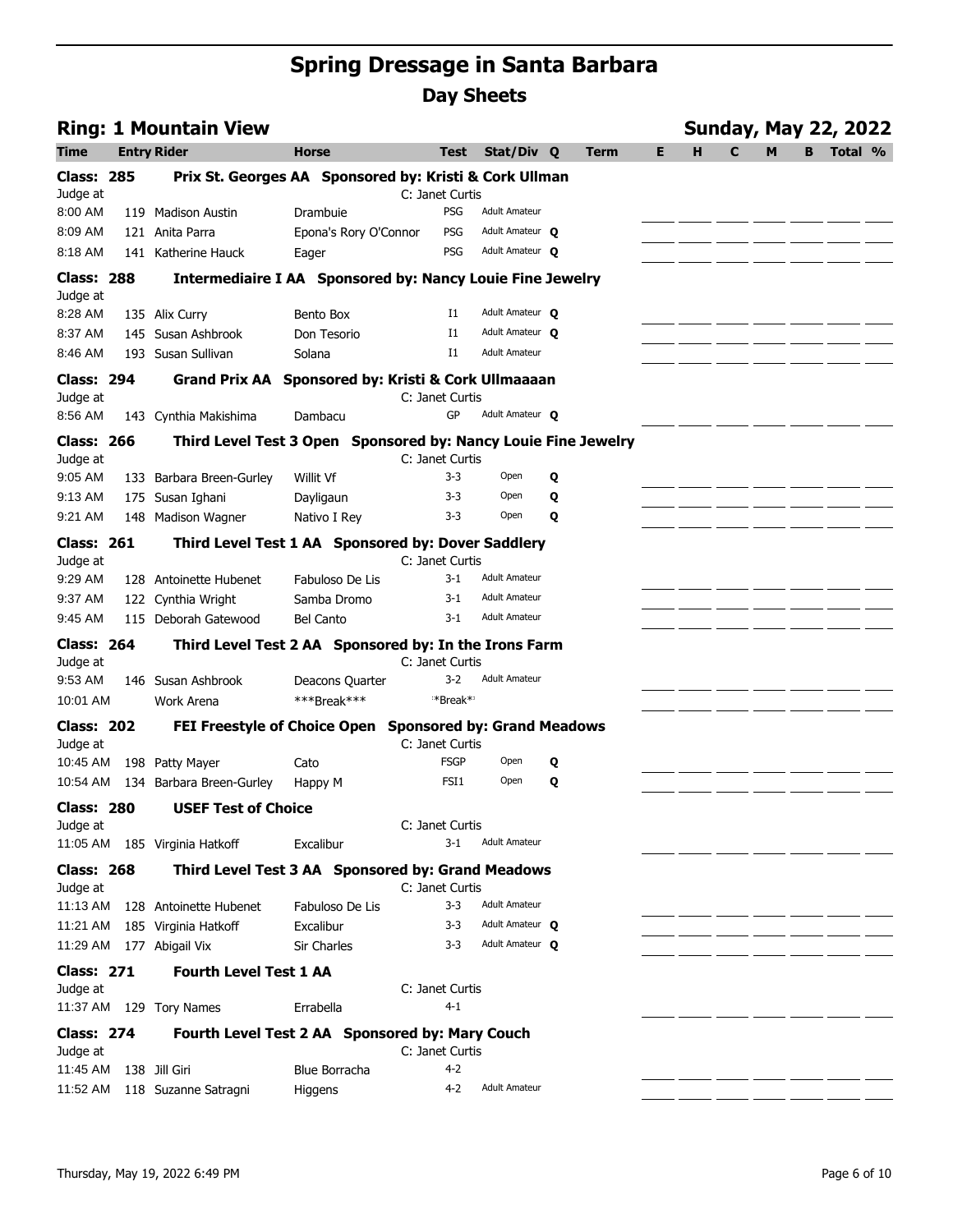|                               | <b>Ring: 1 Mountain View</b>                                     |                       |                                                       |                      |   |             |    |   |   |   |   | <b>Sunday, May 22, 2022</b> |  |
|-------------------------------|------------------------------------------------------------------|-----------------------|-------------------------------------------------------|----------------------|---|-------------|----|---|---|---|---|-----------------------------|--|
| Time                          | <b>Entry Rider</b>                                               | <b>Horse</b>          | <b>Test</b>                                           | Stat/Div Q           |   | <b>Term</b> | E. | н | C | M | В | Total %                     |  |
| <b>Class: 285</b><br>Judge at | Prix St. Georges AA Sponsored by: Kristi & Cork Ullman           |                       | C: Janet Curtis                                       |                      |   |             |    |   |   |   |   |                             |  |
| 8:00 AM                       | 119 Madison Austin                                               | Drambuie              | PSG                                                   | <b>Adult Amateur</b> |   |             |    |   |   |   |   |                             |  |
| 8:09 AM                       | 121 Anita Parra                                                  | Epona's Rory O'Connor | PSG                                                   | Adult Amateur O      |   |             |    |   |   |   |   |                             |  |
| 8:18 AM                       | 141 Katherine Hauck                                              | Eager                 | PSG                                                   | Adult Amateur O      |   |             |    |   |   |   |   |                             |  |
| <b>Class: 288</b>             | <b>Intermediaire I AA Sponsored by: Nancy Louie Fine Jewelry</b> |                       |                                                       |                      |   |             |    |   |   |   |   |                             |  |
| Judge at                      |                                                                  |                       |                                                       |                      |   |             |    |   |   |   |   |                             |  |
| 8:28 AM                       | 135 Alix Curry                                                   | Bento Box             | I1                                                    | Adult Amateur O      |   |             |    |   |   |   |   |                             |  |
| 8:37 AM                       | 145 Susan Ashbrook                                               | Don Tesorio           | I1                                                    | Adult Amateur O      |   |             |    |   |   |   |   |                             |  |
| 8:46 AM                       | 193 Susan Sullivan                                               | Solana                | $_{\rm I1}$                                           | <b>Adult Amateur</b> |   |             |    |   |   |   |   |                             |  |
| <b>Class: 294</b>             | Grand Prix AA Sponsored by: Kristi & Cork Ullmaaaan              |                       |                                                       |                      |   |             |    |   |   |   |   |                             |  |
| Judge at                      |                                                                  |                       | C: Janet Curtis                                       |                      |   |             |    |   |   |   |   |                             |  |
| 8:56 AM                       | 143 Cynthia Makishima                                            | Dambacu               | GP                                                    | Adult Amateur O      |   |             |    |   |   |   |   |                             |  |
| <b>Class: 266</b><br>Judge at | Third Level Test 3 Open Sponsored by: Nancy Louie Fine Jewelry   |                       | C: Janet Curtis                                       |                      |   |             |    |   |   |   |   |                             |  |
| 9:05 AM                       | 133 Barbara Breen-Gurley                                         | Willit Vf             | $3 - 3$                                               | Open                 | Q |             |    |   |   |   |   |                             |  |
| 9:13 AM                       | 175 Susan Ighani                                                 | Dayligaun             | $3 - 3$                                               | Open                 | Q |             |    |   |   |   |   |                             |  |
| 9:21 AM                       | 148 Madison Wagner                                               | Nativo I Rey          | $3 - 3$                                               | Open                 | Q |             |    |   |   |   |   |                             |  |
| <b>Class: 261</b><br>Judge at | Third Level Test 1 AA Sponsored by: Dover Saddlery               |                       | C: Janet Curtis                                       |                      |   |             |    |   |   |   |   |                             |  |
| 9:29 AM                       | 128 Antoinette Hubenet                                           | Fabuloso De Lis       | $3 - 1$                                               | <b>Adult Amateur</b> |   |             |    |   |   |   |   |                             |  |
| 9:37 AM                       | 122 Cynthia Wright                                               | Samba Dromo           | $3-1$                                                 | <b>Adult Amateur</b> |   |             |    |   |   |   |   |                             |  |
| 9:45 AM                       | 115 Deborah Gatewood                                             | <b>Bel Canto</b>      | $3-1$                                                 | <b>Adult Amateur</b> |   |             |    |   |   |   |   |                             |  |
| <b>Class: 264</b>             | Third Level Test 2 AA Sponsored by: In the Irons Farm            |                       |                                                       |                      |   |             |    |   |   |   |   |                             |  |
| Judge at                      |                                                                  |                       | C: Janet Curtis                                       |                      |   |             |    |   |   |   |   |                             |  |
| 9:53 AM                       | 146 Susan Ashbrook                                               | Deacons Quarter       | $3 - 2$                                               | <b>Adult Amateur</b> |   |             |    |   |   |   |   |                             |  |
| 10:01 AM                      | Work Arena                                                       | ***Break***           | **Break**                                             |                      |   |             |    |   |   |   |   |                             |  |
| <b>Class: 202</b><br>Judge at | <b>FEI Freestyle of Choice Open</b>                              |                       | <b>Sponsored by: Grand Meadows</b><br>C: Janet Curtis |                      |   |             |    |   |   |   |   |                             |  |
| 10:45 AM                      | 198 Patty Mayer                                                  | Cato                  | <b>FSGP</b>                                           | Open                 | Q |             |    |   |   |   |   |                             |  |
| 10:54 AM                      | 134 Barbara Breen-Gurley                                         | Happy M               | FSI <sub>1</sub>                                      | Open                 | Q |             |    |   |   |   |   |                             |  |
| <b>Class: 280</b>             | <b>USEF Test of Choice</b>                                       |                       |                                                       |                      |   |             |    |   |   |   |   |                             |  |
| Judge at                      |                                                                  |                       | C: Janet Curtis                                       |                      |   |             |    |   |   |   |   |                             |  |
| 11:05 AM                      | 185 Virginia Hatkoff                                             | Excalibur             | $3-1$                                                 | <b>Adult Amateur</b> |   |             |    |   |   |   |   |                             |  |
| <b>Class: 268</b>             | Third Level Test 3 AA Sponsored by: Grand Meadows                |                       |                                                       |                      |   |             |    |   |   |   |   |                             |  |
| Judge at<br>11:13 AM          | 128 Antoinette Hubenet                                           | Fabuloso De Lis       | C: Janet Curtis<br>$3 - 3$                            | <b>Adult Amateur</b> |   |             |    |   |   |   |   |                             |  |
| 11:21 AM                      | 185 Virginia Hatkoff                                             | Excalibur             | $3 - 3$                                               | Adult Amateur O      |   |             |    |   |   |   |   |                             |  |
| 11:29 AM                      | 177 Abigail Vix                                                  | Sir Charles           | $3 - 3$                                               | Adult Amateur O      |   |             |    |   |   |   |   |                             |  |
|                               |                                                                  |                       |                                                       |                      |   |             |    |   |   |   |   |                             |  |
| <b>Class: 271</b>             | <b>Fourth Level Test 1 AA</b>                                    |                       | C: Janet Curtis                                       |                      |   |             |    |   |   |   |   |                             |  |
| Judge at                      | 11:37 AM 129 Tory Names                                          | Errabella             | $4 - 1$                                               |                      |   |             |    |   |   |   |   |                             |  |
|                               |                                                                  |                       |                                                       |                      |   |             |    |   |   |   |   |                             |  |
| <b>Class: 274</b><br>Judge at | Fourth Level Test 2 AA Sponsored by: Mary Couch                  |                       | C: Janet Curtis                                       |                      |   |             |    |   |   |   |   |                             |  |
| 11:45 AM                      | 138 Jill Giri                                                    | Blue Borracha         | $4 - 2$                                               |                      |   |             |    |   |   |   |   |                             |  |
| 11:52 AM                      | 118 Suzanne Satragni                                             | Higgens               | 4-2                                                   | <b>Adult Amateur</b> |   |             |    |   |   |   |   |                             |  |
|                               |                                                                  |                       |                                                       |                      |   |             |    |   |   |   |   |                             |  |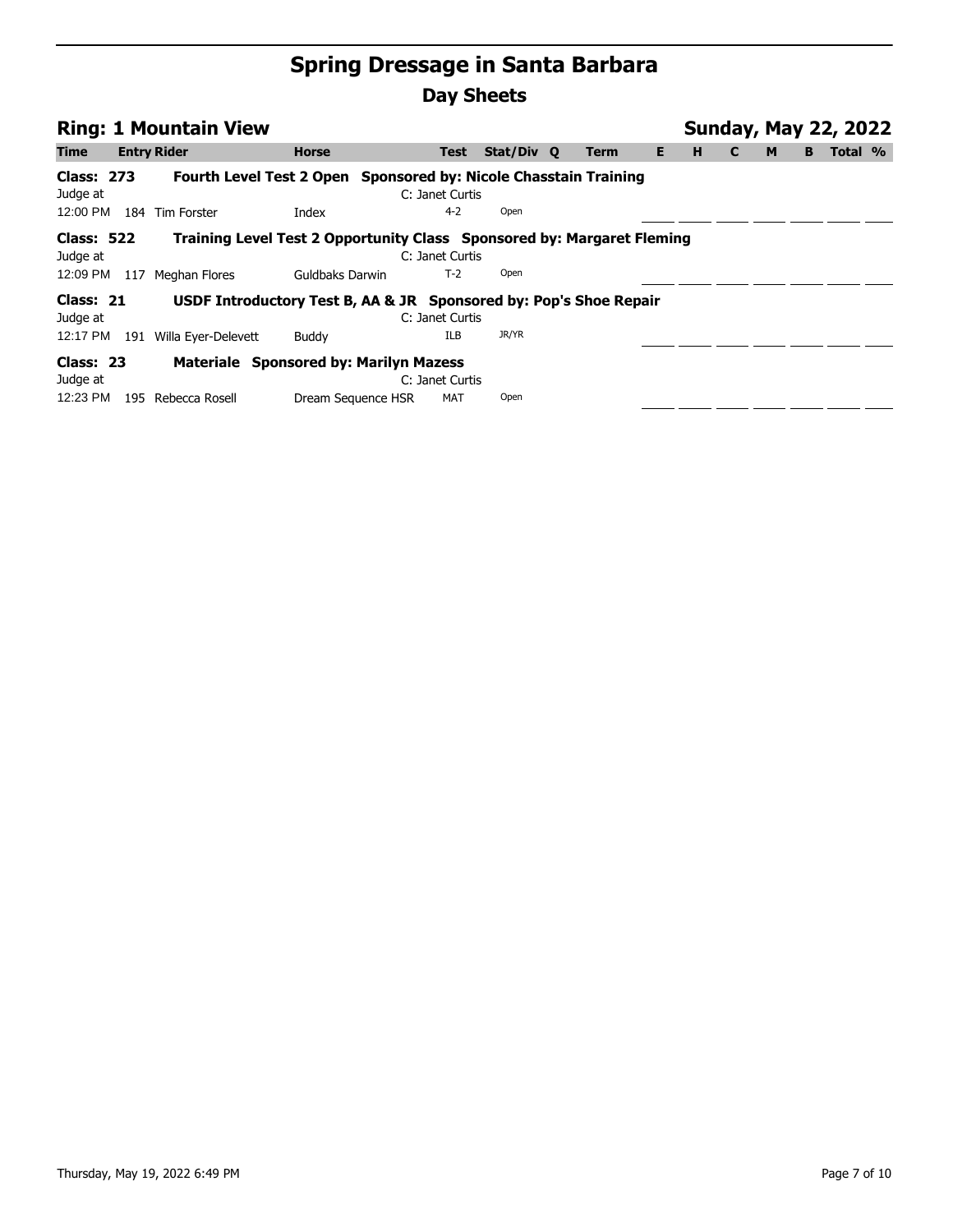|                                   |     | <b>Ring: 1 Mountain View</b> |                                                                        |                               |            |      |    |   | <b>Sunday, May 22, 2022</b> |   |   |         |  |
|-----------------------------------|-----|------------------------------|------------------------------------------------------------------------|-------------------------------|------------|------|----|---|-----------------------------|---|---|---------|--|
| <b>Time</b>                       |     | <b>Entry Rider</b>           | <b>Horse</b>                                                           | <b>Test</b>                   | Stat/Div Q | Term | Е. | н | C                           | M | В | Total % |  |
| <b>Class: 273</b><br>Judge at     |     |                              | Fourth Level Test 2 Open Sponsored by: Nicole Chasstain Training       | C: Janet Curtis               |            |      |    |   |                             |   |   |         |  |
| 12:00 PM                          | 184 | <b>Tim Forster</b>           | Index                                                                  | $4 - 2$                       | Open       |      |    |   |                             |   |   |         |  |
| <b>Class: 522</b><br>Judge at     |     |                              | Training Level Test 2 Opportunity Class Sponsored by: Margaret Fleming | C: Janet Curtis               |            |      |    |   |                             |   |   |         |  |
| 12:09 PM                          | 117 | Meghan Flores                | Guldbaks Darwin                                                        | $T-2$                         | Open       |      |    |   |                             |   |   |         |  |
| Class: 21<br>Judge at             |     |                              | USDF Introductory Test B, AA & JR Sponsored by: Pop's Shoe Repair      | C: Janet Curtis               |            |      |    |   |                             |   |   |         |  |
| 12:17 PM                          |     | 191 Willa Eyer-Delevett      | Buddy                                                                  | <b>ILB</b>                    | JR/YR      |      |    |   |                             |   |   |         |  |
| Class: 23<br>Judge at<br>12:23 PM | 195 | Rebecca Rosell               | Materiale Sponsored by: Marilyn Mazess<br>Dream Sequence HSR           | C: Janet Curtis<br><b>MAT</b> | Open       |      |    |   |                             |   |   |         |  |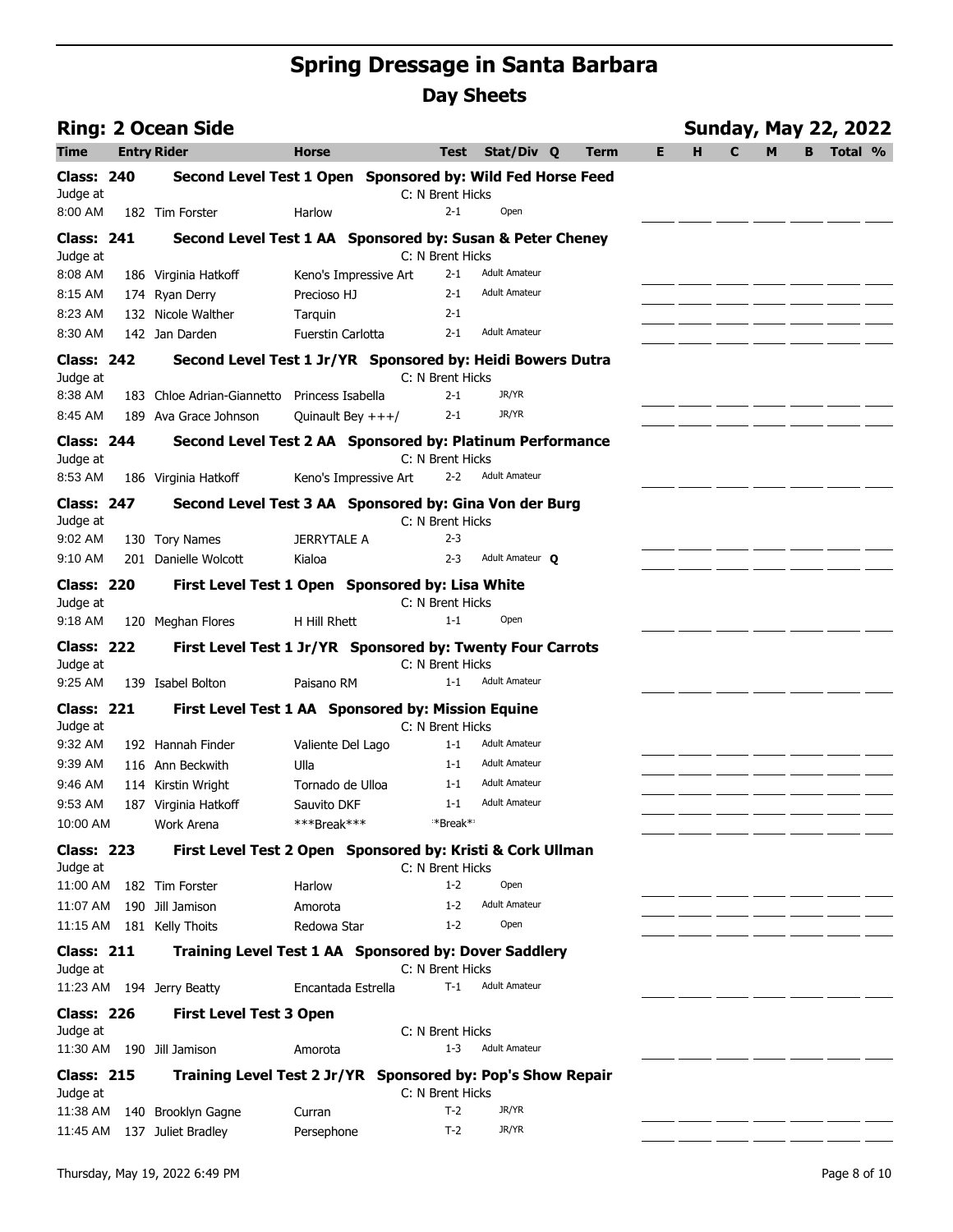|                               | <b>Ring: 2 Ocean Side</b>                                  |                       |                                                            |                      |      |    |   | <b>Sunday, May 22, 2022</b> |   |    |         |  |
|-------------------------------|------------------------------------------------------------|-----------------------|------------------------------------------------------------|----------------------|------|----|---|-----------------------------|---|----|---------|--|
| Time                          | <b>Entry Rider</b>                                         | <b>Horse</b>          | <b>Test</b>                                                | Stat/Div Q           | Term | E. | н | C                           | м | B. | Total % |  |
| <b>Class: 240</b><br>Judge at | Second Level Test 1 Open Sponsored by: Wild Fed Horse Feed |                       | C: N Brent Hicks                                           |                      |      |    |   |                             |   |    |         |  |
| 8:00 AM                       | 182 Tim Forster                                            | Harlow                | $2 - 1$                                                    | Open                 |      |    |   |                             |   |    |         |  |
| <b>Class: 241</b><br>Judge at | Second Level Test 1 AA Sponsored by: Susan & Peter Cheney  |                       | C: N Brent Hicks                                           |                      |      |    |   |                             |   |    |         |  |
| 8:08 AM                       | 186 Virginia Hatkoff                                       | Keno's Impressive Art | $2 - 1$                                                    | <b>Adult Amateur</b> |      |    |   |                             |   |    |         |  |
| 8:15 AM                       | 174 Ryan Derry                                             | Precioso HJ           | $2 - 1$                                                    | <b>Adult Amateur</b> |      |    |   |                             |   |    |         |  |
| 8:23 AM                       | 132 Nicole Walther                                         | Tarquin               | $2 - 1$                                                    |                      |      |    |   |                             |   |    |         |  |
| 8:30 AM                       | 142 Jan Darden                                             | Fuerstin Carlotta     | $2 - 1$                                                    | <b>Adult Amateur</b> |      |    |   |                             |   |    |         |  |
| <b>Class: 242</b><br>Judge at | Second Level Test 1 Jr/YR Sponsored by: Heidi Bowers Dutra |                       | C: N Brent Hicks                                           |                      |      |    |   |                             |   |    |         |  |
| 8:38 AM                       | 183 Chloe Adrian-Giannetto Princess Isabella               |                       | $2 - 1$                                                    | JR/YR                |      |    |   |                             |   |    |         |  |
| 8:45 AM                       | 189 Ava Grace Johnson                                      | Quinault Bey $+++/$   | $2 - 1$                                                    | JR/YR                |      |    |   |                             |   |    |         |  |
| <b>Class: 244</b><br>Judge at | Second Level Test 2 AA Sponsored by: Platinum Performance  |                       | C: N Brent Hicks                                           |                      |      |    |   |                             |   |    |         |  |
| 8:53 AM                       | 186 Virginia Hatkoff                                       | Keno's Impressive Art | $2 - 2$                                                    | <b>Adult Amateur</b> |      |    |   |                             |   |    |         |  |
| <b>Class: 247</b><br>Judge at | Second Level Test 3 AA Sponsored by: Gina Von der Burg     |                       | C: N Brent Hicks                                           |                      |      |    |   |                             |   |    |         |  |
| 9:02 AM                       | 130 Tory Names                                             | <b>JERRYTALE A</b>    | $2 - 3$                                                    |                      |      |    |   |                             |   |    |         |  |
| 9:10 AM                       | 201 Danielle Wolcott                                       | Kialoa                | $2 - 3$                                                    | Adult Amateur O      |      |    |   |                             |   |    |         |  |
| <b>Class: 220</b><br>Judge at | First Level Test 1 Open Sponsored by: Lisa White           |                       | C: N Brent Hicks                                           |                      |      |    |   |                             |   |    |         |  |
| 9:18 AM                       | 120 Meghan Flores                                          | H Hill Rhett          | $1 - 1$                                                    | Open                 |      |    |   |                             |   |    |         |  |
| <b>Class: 222</b><br>Judge at | First Level Test 1 Jr/YR Sponsored by: Twenty Four Carrots |                       | C: N Brent Hicks                                           |                      |      |    |   |                             |   |    |         |  |
| 9:25 AM                       | 139 Isabel Bolton                                          | Paisano RM            | $1 - 1$                                                    | <b>Adult Amateur</b> |      |    |   |                             |   |    |         |  |
| <b>Class: 221</b><br>Judge at | First Level Test 1 AA Sponsored by: Mission Equine         |                       | C: N Brent Hicks                                           |                      |      |    |   |                             |   |    |         |  |
| 9:32 AM                       | 192 Hannah Finder                                          | Valiente Del Lago     | $1 - 1$                                                    | <b>Adult Amateur</b> |      |    |   |                             |   |    |         |  |
| 9:39 AM                       | 116 Ann Beckwith                                           | Ulla                  | $1 - 1$                                                    | <b>Adult Amateur</b> |      |    |   |                             |   |    |         |  |
| 9:46 AM                       | 114 Kirstin Wright                                         | Tornado de Ulloa      | $1 - 1$                                                    | <b>Adult Amateur</b> |      |    |   |                             |   |    |         |  |
| 9:53 AM                       | 187 Virginia Hatkoff                                       | Sauvito DKF           | $1 - 1$                                                    | <b>Adult Amateur</b> |      |    |   |                             |   |    |         |  |
| 10:00 AM                      | Work Arena                                                 | ***Break***           | *Break**                                                   |                      |      |    |   |                             |   |    |         |  |
| <b>Class: 223</b><br>Judge at | First Level Test 2 Open Sponsored by: Kristi & Cork Ullman |                       | C: N Brent Hicks                                           |                      |      |    |   |                             |   |    |         |  |
| 11:00 AM                      | 182 Tim Forster                                            | Harlow                | $1 - 2$                                                    | Open                 |      |    |   |                             |   |    |         |  |
| 11:07 AM                      | 190 Jill Jamison                                           | Amorota               | $1 - 2$                                                    | <b>Adult Amateur</b> |      |    |   |                             |   |    |         |  |
| 11:15 AM                      | 181 Kelly Thoits                                           | Redowa Star           | $1 - 2$                                                    | Open                 |      |    |   |                             |   |    |         |  |
| <b>Class: 211</b><br>Judge at | Training Level Test 1 AA Sponsored by: Dover Saddlery      |                       | C: N Brent Hicks                                           |                      |      |    |   |                             |   |    |         |  |
|                               | 11:23 AM 194 Jerry Beatty                                  | Encantada Estrella    | $T-1$                                                      | <b>Adult Amateur</b> |      |    |   |                             |   |    |         |  |
| <b>Class: 226</b><br>Judge at | <b>First Level Test 3 Open</b>                             |                       | C: N Brent Hicks                                           |                      |      |    |   |                             |   |    |         |  |
| 11:30 AM                      | 190 Jill Jamison                                           | Amorota               | $1 - 3$                                                    | <b>Adult Amateur</b> |      |    |   |                             |   |    |         |  |
| <b>Class: 215</b><br>Judge at | <b>Training Level Test 2 Jr/YR</b>                         |                       | <b>Sponsored by: Pop's Show Repair</b><br>C: N Brent Hicks |                      |      |    |   |                             |   |    |         |  |
| 11:38 AM                      | 140 Brooklyn Gagne                                         | Curran                | $T-2$                                                      | JR/YR                |      |    |   |                             |   |    |         |  |
|                               | 11:45 AM 137 Juliet Bradley                                | Persephone            | $T-2$                                                      | JR/YR                |      |    |   |                             |   |    |         |  |

 $\overline{a}$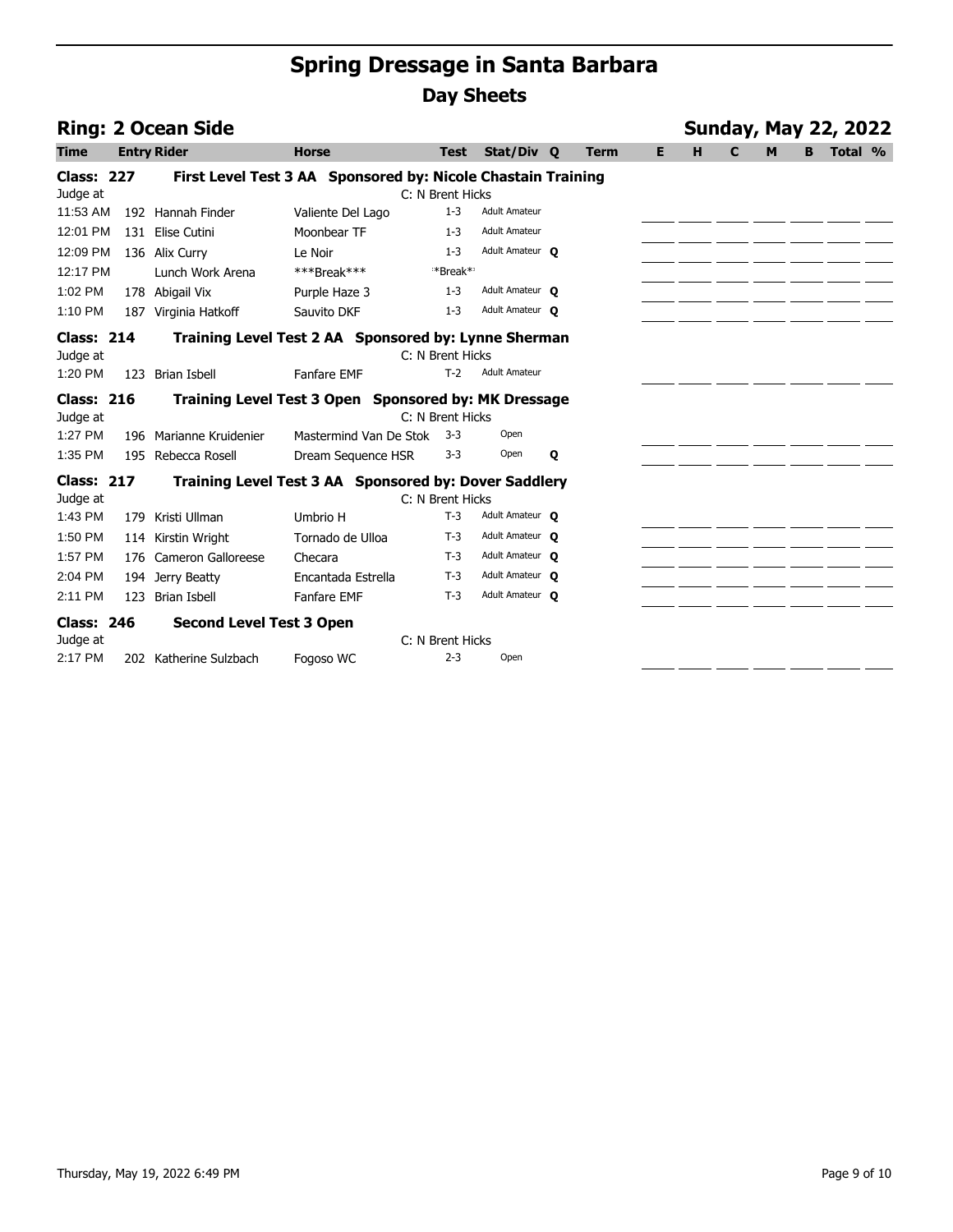|                   | <b>Ring: 2 Ocean Side</b>                            |                                                              |                  |                      |   |             |    |   |              |   |   | <b>Sunday, May 22, 2022</b> |  |
|-------------------|------------------------------------------------------|--------------------------------------------------------------|------------------|----------------------|---|-------------|----|---|--------------|---|---|-----------------------------|--|
| <b>Time</b>       | <b>Entry Rider</b>                                   | <b>Horse</b>                                                 | <b>Test</b>      | Stat/Div Q           |   | <b>Term</b> | E. | H | $\mathbf{C}$ | M | в | Total %                     |  |
| <b>Class: 227</b> |                                                      | First Level Test 3 AA Sponsored by: Nicole Chastain Training |                  |                      |   |             |    |   |              |   |   |                             |  |
| Judge at          |                                                      |                                                              | C: N Brent Hicks |                      |   |             |    |   |              |   |   |                             |  |
| 11:53 AM          | 192 Hannah Finder                                    | Valiente Del Lago                                            | $1 - 3$          | <b>Adult Amateur</b> |   |             |    |   |              |   |   |                             |  |
| 12:01 PM          | 131 Elise Cutini                                     | Moonbear TF                                                  | $1 - 3$          | <b>Adult Amateur</b> |   |             |    |   |              |   |   |                             |  |
| 12:09 PM          | 136 Alix Curry                                       | Le Noir                                                      | $1 - 3$          | Adult Amateur O      |   |             |    |   |              |   |   |                             |  |
| 12:17 PM          | Lunch Work Arena                                     | ***Break***                                                  | **Break**        |                      |   |             |    |   |              |   |   |                             |  |
| 1:02 PM           | 178 Abigail Vix                                      | Purple Haze 3                                                | $1 - 3$          | Adult Amateur O      |   |             |    |   |              |   |   |                             |  |
| 1:10 PM           | 187<br>Virginia Hatkoff                              | Sauvito DKF                                                  | $1 - 3$          | Adult Amateur O      |   |             |    |   |              |   |   |                             |  |
| <b>Class: 214</b> |                                                      | Training Level Test 2 AA Sponsored by: Lynne Sherman         |                  |                      |   |             |    |   |              |   |   |                             |  |
| Judge at          |                                                      |                                                              | C: N Brent Hicks |                      |   |             |    |   |              |   |   |                             |  |
| 1:20 PM           | 123 Brian Isbell                                     | <b>Fanfare EMF</b>                                           | $T-2$            | <b>Adult Amateur</b> |   |             |    |   |              |   |   |                             |  |
| <b>Class: 216</b> | Training Level Test 3 Open Sponsored by: MK Dressage |                                                              |                  |                      |   |             |    |   |              |   |   |                             |  |
| Judge at          |                                                      |                                                              | C: N Brent Hicks |                      |   |             |    |   |              |   |   |                             |  |
| 1:27 PM           | 196 Marianne Kruidenier                              | Mastermind Van De Stok                                       | $3-3$            | Open                 |   |             |    |   |              |   |   |                             |  |
| 1:35 PM           | 195<br>Rebecca Rosell                                | Dream Sequence HSR                                           | $3 - 3$          | Open                 | Q |             |    |   |              |   |   |                             |  |
| <b>Class: 217</b> |                                                      | Training Level Test 3 AA Sponsored by: Dover Saddlery        |                  |                      |   |             |    |   |              |   |   |                             |  |
| Judge at          |                                                      |                                                              | C: N Brent Hicks |                      |   |             |    |   |              |   |   |                             |  |
| 1:43 PM           | 179 Kristi Ullman                                    | Umbrio H                                                     | $T-3$            | Adult Amateur O      |   |             |    |   |              |   |   |                             |  |
| 1:50 PM           | 114 Kirstin Wright                                   | Tornado de Ulloa                                             | $T-3$            | Adult Amateur O      |   |             |    |   |              |   |   |                             |  |
| 1:57 PM           | 176 Cameron Galloreese                               | Checara                                                      | $T-3$            | Adult Amateur O      |   |             |    |   |              |   |   |                             |  |
| 2:04 PM           | 194 Jerry Beatty                                     | Encantada Estrella                                           | $T-3$            | Adult Amateur O      |   |             |    |   |              |   |   |                             |  |
| 2:11 PM           | Brian Isbell<br>123                                  | <b>Fanfare EMF</b>                                           | $T-3$            | Adult Amateur O      |   |             |    |   |              |   |   |                             |  |
| <b>Class: 246</b> | <b>Second Level Test 3 Open</b>                      |                                                              |                  |                      |   |             |    |   |              |   |   |                             |  |
| Judge at          |                                                      |                                                              | C: N Brent Hicks |                      |   |             |    |   |              |   |   |                             |  |
| 2:17 PM           | 202 Katherine Sulzbach                               | Fogoso WC                                                    | $2 - 3$          | Open                 |   |             |    |   |              |   |   |                             |  |